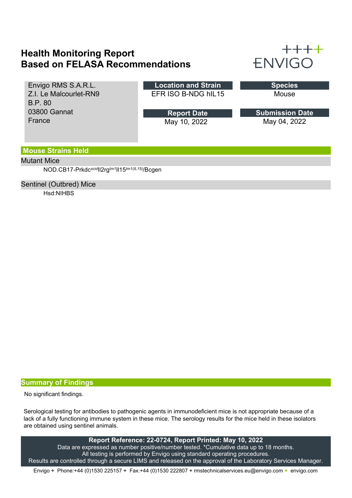## **Health Monitoring Report Based on FELASA Recommendations**



| Envigo RMS S.A.R.L.    | <b>Location and Strain</b> | <b>Species</b>         |
|------------------------|----------------------------|------------------------|
| Z.I. Le Malcourlet-RN9 | EFR ISO B-NDG hIL15        | Mouse                  |
| <b>B.P. 80</b>         |                            |                        |
| 03800 Gannat           | <b>Report Date</b>         | <b>Submission Date</b> |
|                        |                            |                        |
| France                 | May 10, 2022               | May 04, 2022           |

### **Mouse Strains Held**

#### Mutant Mice

NOD.CB17-Prkdc*scid*Il2rg*tm1*Il15*tm1(IL15)*/Bcgen

#### Sentinel (Outbred) Mice

Hsd:NIHBS

### **Summary of Findings**

No significant findings.

Serological testing for antibodies to pathogenic agents in immunodeficient mice is not appropriate because of a lack of a fully functioning immune system in these mice. The serology results for the mice held in these isolators are obtained using sentinel animals.

**Report Reference: 22-0724, Report Printed: May 10, 2022** Data are expressed as number positive/number tested. \*Cumulative data up to 18 months. All testing is performed by Envigo using standard operating procedures. Results are controlled through a secure LIMS and released on the approval of the Laboratory Services Manager.

Envigo **+** Phone:+44 (0)1530 225157 **+** Fax:+44 (0)1530 222807 **+** rmstechnicalservices.eu@envigo.com **+** envigo.com